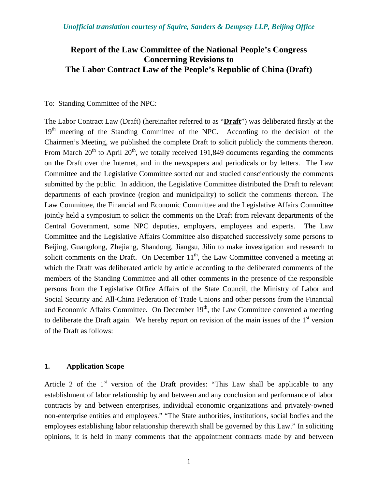# **Report of the Law Committee of the National People's Congress Concerning Revisions to The Labor Contract Law of the People's Republic of China (Draft)**

#### To: Standing Committee of the NPC:

The Labor Contract Law (Draft) (hereinafter referred to as "**Draft**") was deliberated firstly at the  $19<sup>th</sup>$  meeting of the Standing Committee of the NPC. According to the decision of the Chairmen's Meeting, we published the complete Draft to solicit publicly the comments thereon. From March  $20<sup>th</sup>$  to April  $20<sup>th</sup>$ , we totally received 191,849 documents regarding the comments on the Draft over the Internet, and in the newspapers and periodicals or by letters. The Law Committee and the Legislative Committee sorted out and studied conscientiously the comments submitted by the public. In addition, the Legislative Committee distributed the Draft to relevant departments of each province (region and municipality) to solicit the comments thereon. The Law Committee, the Financial and Economic Committee and the Legislative Affairs Committee jointly held a symposium to solicit the comments on the Draft from relevant departments of the Central Government, some NPC deputies, employers, employees and experts. The Law Committee and the Legislative Affairs Committee also dispatched successively some persons to Beijing, Guangdong, Zhejiang, Shandong, Jiangsu, Jilin to make investigation and research to solicit comments on the Draft. On December  $11<sup>th</sup>$ , the Law Committee convened a meeting at which the Draft was deliberated article by article according to the deliberated comments of the members of the Standing Committee and all other comments in the presence of the responsible persons from the Legislative Office Affairs of the State Council, the Ministry of Labor and Social Security and All-China Federation of Trade Unions and other persons from the Financial and Economic Affairs Committee. On December  $19<sup>th</sup>$ , the Law Committee convened a meeting to deliberate the Draft again. We hereby report on revision of the main issues of the  $1<sup>st</sup>$  version of the Draft as follows:

#### **1. Application Scope**

Article 2 of the  $1<sup>st</sup>$  version of the Draft provides: "This Law shall be applicable to any establishment of labor relationship by and between and any conclusion and performance of labor contracts by and between enterprises, individual economic organizations and privately-owned non-enterprise entities and employees." "The State authorities, institutions, social bodies and the employees establishing labor relationship therewith shall be governed by this Law." In soliciting opinions, it is held in many comments that the appointment contracts made by and between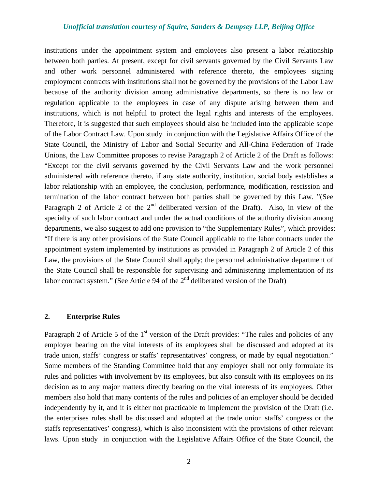institutions under the appointment system and employees also present a labor relationship between both parties. At present, except for civil servants governed by the Civil Servants Law and other work personnel administered with reference thereto, the employees signing employment contracts with institutions shall not be governed by the provisions of the Labor Law because of the authority division among administrative departments, so there is no law or regulation applicable to the employees in case of any dispute arising between them and institutions, which is not helpful to protect the legal rights and interests of the employees. Therefore, it is suggested that such employees should also be included into the applicable scope of the Labor Contract Law. Upon study in conjunction with the Legislative Affairs Office of the State Council, the Ministry of Labor and Social Security and All-China Federation of Trade Unions, the Law Committee proposes to revise Paragraph 2 of Article 2 of the Draft as follows: "Except for the civil servants governed by the Civil Servants Law and the work personnel administered with reference thereto, if any state authority, institution, social body establishes a labor relationship with an employee, the conclusion, performance, modification, rescission and termination of the labor contract between both parties shall be governed by this Law. "(See Paragraph 2 of Article 2 of the 2<sup>nd</sup> deliberated version of the Draft). Also, in view of the specialty of such labor contract and under the actual conditions of the authority division among departments, we also suggest to add one provision to "the Supplementary Rules", which provides: "If there is any other provisions of the State Council applicable to the labor contracts under the appointment system implemented by institutions as provided in Paragraph 2 of Article 2 of this Law, the provisions of the State Council shall apply; the personnel administrative department of the State Council shall be responsible for supervising and administering implementation of its labor contract system." (See Article 94 of the  $2<sup>nd</sup>$  deliberated version of the Draft)

### **2. Enterprise Rules**

Paragraph 2 of Article 5 of the  $1<sup>st</sup>$  version of the Draft provides: "The rules and policies of any employer bearing on the vital interests of its employees shall be discussed and adopted at its trade union, staffs' congress or staffs' representatives' congress, or made by equal negotiation." Some members of the Standing Committee hold that any employer shall not only formulate its rules and policies with involvement by its employees, but also consult with its employees on its decision as to any major matters directly bearing on the vital interests of its employees. Other members also hold that many contents of the rules and policies of an employer should be decided independently by it, and it is either not practicable to implement the provision of the Draft (i.e. the enterprises rules shall be discussed and adopted at the trade union staffs' congress or the staffs representatives' congress), which is also inconsistent with the provisions of other relevant laws. Upon study in conjunction with the Legislative Affairs Office of the State Council, the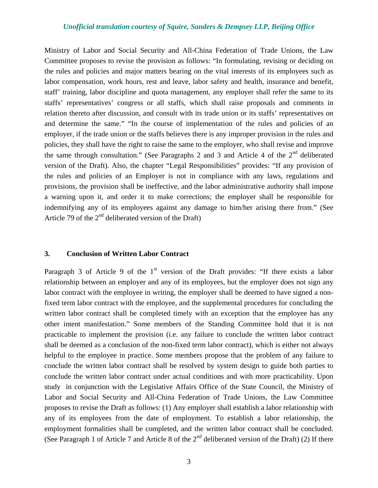Ministry of Labor and Social Security and All-China Federation of Trade Unions, the Law Committee proposes to revise the provision as follows: "In formulating, revising or deciding on the rules and policies and major matters bearing on the vital interests of its employees such as labor compensation, work hours, rest and leave, labor safety and health, insurance and benefit, staff' training, labor discipline and quota management, any employer shall refer the same to its staffs' representatives' congress or all staffs, which shall raise proposals and comments in relation thereto after discussion, and consult with its trade union or its staffs' representatives on and determine the same." "In the course of implementation of the rules and policies of an employer, if the trade union or the staffs believes there is any improper provision in the rules and policies, they shall have the right to raise the same to the employer, who shall revise and improve the same through consultation." (See Paragraphs 2 and 3 and Article 4 of the  $2<sup>nd</sup>$  deliberated version of the Draft). Also, the chapter "Legal Responsibilities" provides: "If any provision of the rules and policies of an Employer is not in compliance with any laws, regulations and provisions, the provision shall be ineffective, and the labor administrative authority shall impose a warning upon it, and order it to make corrections; the employer shall be responsible for indemnifying any of its employees against any damage to him/her arising there from." (See Article 79 of the  $2<sup>nd</sup>$  deliberated version of the Draft)

#### **3. Conclusion of Written Labor Contract**

Paragraph 3 of Article 9 of the  $1<sup>st</sup>$  version of the Draft provides: "If there exists a labor relationship between an employer and any of its employees, but the employer does not sign any labor contract with the employee in writing, the employer shall be deemed to have signed a nonfixed term labor contract with the employee, and the supplemental procedures for concluding the written labor contract shall be completed timely with an exception that the employee has any other intent manifestation." Some members of the Standing Committee hold that it is not practicable to implement the provision (i.e. any failure to conclude the written labor contract shall be deemed as a conclusion of the non-fixed term labor contract), which is either not always helpful to the employee in practice. Some members propose that the problem of any failure to conclude the written labor contract shall be resolved by system design to guide both parties to conclude the written labor contract under actual conditions and with more practicability. Upon study in conjunction with the Legislative Affairs Office of the State Council, the Ministry of Labor and Social Security and All-China Federation of Trade Unions, the Law Committee proposes to revise the Draft as follows: (1) Any employer shall establish a labor relationship with any of its employees from the date of employment. To establish a labor relationship, the employment formalities shall be completed, and the written labor contract shall be concluded. (See Paragraph 1 of Article 7 and Article 8 of the  $2<sup>nd</sup>$  deliberated version of the Draft) (2) If there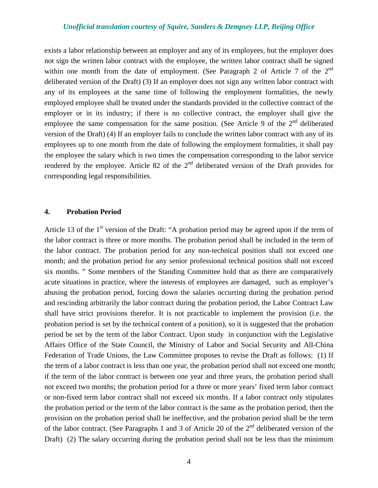exists a labor relationship between an employer and any of its employees, but the employer does not sign the written labor contract with the employee, the written labor contract shall be signed within one month from the date of employment. (See Paragraph 2 of Article 7 of the  $2<sup>nd</sup>$ deliberated version of the Draft) (3) If an employer does not sign any written labor contract with any of its employees at the same time of following the employment formalities, the newly employed employee shall be treated under the standards provided in the collective contract of the employer or in its industry; if there is no collective contract, the employer shall give the employee the same compensation for the same position. (See Article 9 of the  $2<sup>nd</sup>$  deliberated version of the Draft) (4) If an employer fails to conclude the written labor contract with any of its employees up to one month from the date of following the employment formalities, it shall pay the employee the salary which is two times the compensation corresponding to the labor service rendered by the employee. Article 82 of the  $2<sup>nd</sup>$  deliberated version of the Draft provides for corresponding legal responsibilities.

#### **4. Probation Period**

Article 13 of the 1<sup>st</sup> version of the Draft: "A probation period may be agreed upon if the term of the labor contract is three or more months. The probation period shall be included in the term of the labor contract. The probation period for any non-technical position shall not exceed one month; and the probation period for any senior professional technical position shall not exceed six months. " Some members of the Standing Committee hold that as there are comparatively acute situations in practice, where the interests of employees are damaged, such as employer's abusing the probation period, forcing down the salaries occurring during the probation period and rescinding arbitrarily the labor contract during the probation period, the Labor Contract Law shall have strict provisions therefor. It is not practicable to implement the provision (i.e. the probation period is set by the technical content of a position), so it is suggested that the probation period be set by the term of the labor Contract. Upon study in conjunction with the Legislative Affairs Office of the State Council, the Ministry of Labor and Social Security and All-China Federation of Trade Unions, the Law Committee proposes to revise the Draft as follows: (1) If the term of a labor contract is less than one year, the probation period shall not exceed one month; if the term of the labor contract is between one year and three years, the probation period shall not exceed two months; the probation period for a three or more years' fixed term labor contract or non-fixed term labor contract shall not exceed six months. If a labor contract only stipulates the probation period or the term of the labor contract is the same as the probation period, then the provision on the probation period shall be ineffective, and the probation period shall be the term of the labor contract. (See Paragraphs 1 and 3 of Article 20 of the  $2<sup>nd</sup>$  deliberated version of the Draft) (2) The salary occurring during the probation period shall not be less than the minimum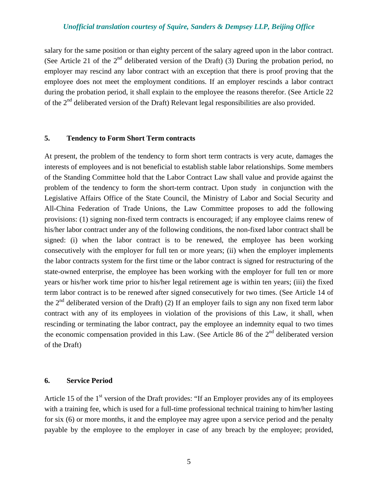salary for the same position or than eighty percent of the salary agreed upon in the labor contract. (See Article 21 of the  $2<sup>nd</sup>$  deliberated version of the Draft) (3) During the probation period, no employer may rescind any labor contract with an exception that there is proof proving that the employee does not meet the employment conditions. If an employer rescinds a labor contract during the probation period, it shall explain to the employee the reasons therefor. (See Article 22 of the  $2<sup>nd</sup>$  deliberated version of the Draft) Relevant legal responsibilities are also provided.

#### **5. Tendency to Form Short Term contracts**

At present, the problem of the tendency to form short term contracts is very acute, damages the interests of employees and is not beneficial to establish stable labor relationships. Some members of the Standing Committee hold that the Labor Contract Law shall value and provide against the problem of the tendency to form the short-term contract. Upon study in conjunction with the Legislative Affairs Office of the State Council, the Ministry of Labor and Social Security and All-China Federation of Trade Unions, the Law Committee proposes to add the following provisions: (1) signing non-fixed term contracts is encouraged; if any employee claims renew of his/her labor contract under any of the following conditions, the non-fixed labor contract shall be signed: (i) when the labor contract is to be renewed, the employee has been working consecutively with the employer for full ten or more years; (ii) when the employer implements the labor contracts system for the first time or the labor contract is signed for restructuring of the state-owned enterprise, the employee has been working with the employer for full ten or more years or his/her work time prior to his/her legal retirement age is within ten years; (iii) the fixed term labor contract is to be renewed after signed consecutively for two times. (See Article 14 of the  $2<sup>nd</sup>$  deliberated version of the Draft) (2) If an employer fails to sign any non fixed term labor contract with any of its employees in violation of the provisions of this Law, it shall, when rescinding or terminating the labor contract, pay the employee an indemnity equal to two times the economic compensation provided in this Law. (See Article 86 of the  $2<sup>nd</sup>$  deliberated version of the Draft)

#### **6. Service Period**

Article 15 of the  $1<sup>st</sup>$  version of the Draft provides: "If an Employer provides any of its employees with a training fee, which is used for a full-time professional technical training to him/her lasting for six (6) or more months, it and the employee may agree upon a service period and the penalty payable by the employee to the employer in case of any breach by the employee; provided,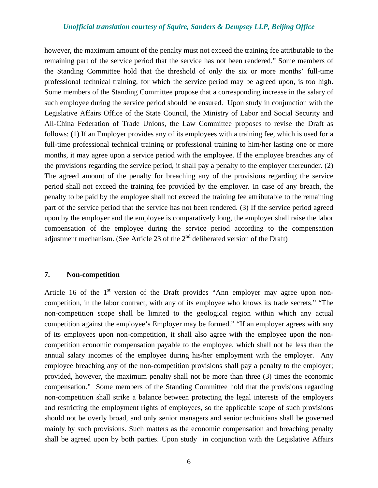however, the maximum amount of the penalty must not exceed the training fee attributable to the remaining part of the service period that the service has not been rendered." Some members of the Standing Committee hold that the threshold of only the six or more months' full-time professional technical training, for which the service period may be agreed upon, is too high. Some members of the Standing Committee propose that a corresponding increase in the salary of such employee during the service period should be ensured. Upon study in conjunction with the Legislative Affairs Office of the State Council, the Ministry of Labor and Social Security and All-China Federation of Trade Unions, the Law Committee proposes to revise the Draft as follows: (1) If an Employer provides any of its employees with a training fee, which is used for a full-time professional technical training or professional training to him/her lasting one or more months, it may agree upon a service period with the employee. If the employee breaches any of the provisions regarding the service period, it shall pay a penalty to the employer thereunder. (2) The agreed amount of the penalty for breaching any of the provisions regarding the service period shall not exceed the training fee provided by the employer. In case of any breach, the penalty to be paid by the employee shall not exceed the training fee attributable to the remaining part of the service period that the service has not been rendered. (3) If the service period agreed upon by the employer and the employee is comparatively long, the employer shall raise the labor compensation of the employee during the service period according to the compensation adjustment mechanism. (See Article 23 of the  $2<sup>nd</sup>$  deliberated version of the Draft)

### **7. Non-competition**

Article 16 of the  $1<sup>st</sup>$  version of the Draft provides "Ann employer may agree upon noncompetition, in the labor contract, with any of its employee who knows its trade secrets." "The non-competition scope shall be limited to the geological region within which any actual competition against the employee's Employer may be formed." "If an employer agrees with any of its employees upon non-competition, it shall also agree with the employee upon the noncompetition economic compensation payable to the employee, which shall not be less than the annual salary incomes of the employee during his/her employment with the employer. Any employee breaching any of the non-competition provisions shall pay a penalty to the employer; provided, however, the maximum penalty shall not be more than three (3) times the economic compensation." Some members of the Standing Committee hold that the provisions regarding non-competition shall strike a balance between protecting the legal interests of the employers and restricting the employment rights of employees, so the applicable scope of such provisions should not be overly broad, and only senior managers and senior technicians shall be governed mainly by such provisions. Such matters as the economic compensation and breaching penalty shall be agreed upon by both parties. Upon study in conjunction with the Legislative Affairs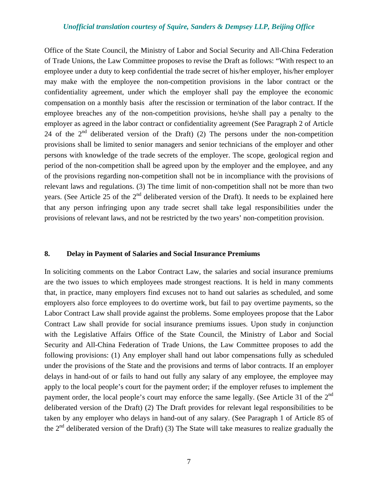Office of the State Council, the Ministry of Labor and Social Security and All-China Federation of Trade Unions, the Law Committee proposes to revise the Draft as follows: "With respect to an employee under a duty to keep confidential the trade secret of his/her employer, his/her employer may make with the employee the non-competition provisions in the labor contract or the confidentiality agreement, under which the employer shall pay the employee the economic compensation on a monthly basis after the rescission or termination of the labor contract. If the employee breaches any of the non-competition provisions, he/she shall pay a penalty to the employer as agreed in the labor contract or confidentiality agreement (See Paragraph 2 of Article 24 of the  $2<sup>nd</sup>$  deliberated version of the Draft) (2) The persons under the non-competition provisions shall be limited to senior managers and senior technicians of the employer and other persons with knowledge of the trade secrets of the employer. The scope, geological region and period of the non-competition shall be agreed upon by the employer and the employee, and any of the provisions regarding non-competition shall not be in incompliance with the provisions of relevant laws and regulations. (3) The time limit of non-competition shall not be more than two years. (See Article 25 of the  $2<sup>nd</sup>$  deliberated version of the Draft). It needs to be explained here that any person infringing upon any trade secret shall take legal responsibilities under the provisions of relevant laws, and not be restricted by the two years' non-competition provision.

#### **8. Delay in Payment of Salaries and Social Insurance Premiums**

In soliciting comments on the Labor Contract Law, the salaries and social insurance premiums are the two issues to which employees made strongest reactions. It is held in many comments that, in practice, many employers find excuses not to hand out salaries as scheduled, and some employers also force employees to do overtime work, but fail to pay overtime payments, so the Labor Contract Law shall provide against the problems. Some employees propose that the Labor Contract Law shall provide for social insurance premiums issues. Upon study in conjunction with the Legislative Affairs Office of the State Council, the Ministry of Labor and Social Security and All-China Federation of Trade Unions, the Law Committee proposes to add the following provisions: (1) Any employer shall hand out labor compensations fully as scheduled under the provisions of the State and the provisions and terms of labor contracts. If an employer delays in hand-out of or fails to hand out fully any salary of any employee, the employee may apply to the local people's court for the payment order; if the employer refuses to implement the payment order, the local people's court may enforce the same legally. (See Article 31 of the 2<sup>nd</sup> deliberated version of the Draft) (2) The Draft provides for relevant legal responsibilities to be taken by any employer who delays in hand-out of any salary. (See Paragraph 1 of Article 85 of the  $2<sup>nd</sup>$  deliberated version of the Draft) (3) The State will take measures to realize gradually the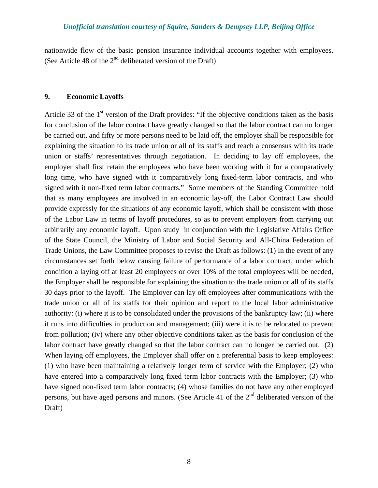nationwide flow of the basic pension insurance individual accounts together with employees. (See Article 48 of the  $2<sup>nd</sup>$  deliberated version of the Draft)

### **9. Economic Layoffs**

Article 33 of the  $1<sup>st</sup>$  version of the Draft provides: "If the objective conditions taken as the basis for conclusion of the labor contract have greatly changed so that the labor contract can no longer be carried out, and fifty or more persons need to be laid off, the employer shall be responsible for explaining the situation to its trade union or all of its staffs and reach a consensus with its trade union or staffs' representatives through negotiation. In deciding to lay off employees, the employer shall first retain the employees who have been working with it for a comparatively long time, who have signed with it comparatively long fixed-term labor contracts, and who signed with it non-fixed term labor contracts." Some members of the Standing Committee hold that as many employees are involved in an economic lay-off, the Labor Contract Law should provide expressly for the situations of any economic layoff, which shall be consistent with those of the Labor Law in terms of layoff procedures, so as to prevent employers from carrying out arbitrarily any economic layoff. Upon study in conjunction with the Legislative Affairs Office of the State Council, the Ministry of Labor and Social Security and All-China Federation of Trade Unions, the Law Committee proposes to revise the Draft as follows: (1) In the event of any circumstances set forth below causing failure of performance of a labor contract, under which condition a laying off at least 20 employees or over 10% of the total employees will be needed, the Employer shall be responsible for explaining the situation to the trade union or all of its staffs 30 days prior to the layoff. The Employer can lay off employees after communications with the trade union or all of its staffs for their opinion and report to the local labor administrative authority: (i) where it is to be consolidated under the provisions of the bankruptcy law; (ii) where it runs into difficulties in production and management; (iii) were it is to be relocated to prevent from pollution; (iv) where any other objective conditions taken as the basis for conclusion of the labor contract have greatly changed so that the labor contract can no longer be carried out. (2) When laying off employees, the Employer shall offer on a preferential basis to keep employees: (1) who have been maintaining a relatively longer term of service with the Employer; (2) who have entered into a comparatively long fixed term labor contracts with the Employer; (3) who have signed non-fixed term labor contracts; (4) whose families do not have any other employed persons, but have aged persons and minors. (See Article 41 of the  $2<sup>nd</sup>$  deliberated version of the Draft)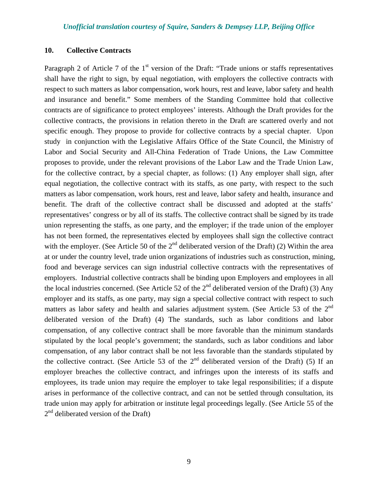#### **10. Collective Contracts**

Paragraph 2 of Article 7 of the  $1<sup>st</sup>$  version of the Draft: "Trade unions or staffs representatives shall have the right to sign, by equal negotiation, with employers the collective contracts with respect to such matters as labor compensation, work hours, rest and leave, labor safety and health and insurance and benefit." Some members of the Standing Committee hold that collective contracts are of significance to protect employees' interests. Although the Draft provides for the collective contracts, the provisions in relation thereto in the Draft are scattered overly and not specific enough. They propose to provide for collective contracts by a special chapter. Upon study in conjunction with the Legislative Affairs Office of the State Council, the Ministry of Labor and Social Security and All-China Federation of Trade Unions, the Law Committee proposes to provide, under the relevant provisions of the Labor Law and the Trade Union Law, for the collective contract, by a special chapter, as follows: (1) Any employer shall sign, after equal negotiation, the collective contract with its staffs, as one party, with respect to the such matters as labor compensation, work hours, rest and leave, labor safety and health, insurance and benefit. The draft of the collective contract shall be discussed and adopted at the staffs' representatives' congress or by all of its staffs. The collective contract shall be signed by its trade union representing the staffs, as one party, and the employer; if the trade union of the employer has not been formed, the representatives elected by employees shall sign the collective contract with the employer. (See Article 50 of the  $2<sup>nd</sup>$  deliberated version of the Draft) (2) Within the area at or under the country level, trade union organizations of industries such as construction, mining, food and beverage services can sign industrial collective contracts with the representatives of employers. Industrial collective contracts shall be binding upon Employers and employees in all the local industries concerned. (See Article 52 of the  $2<sup>nd</sup>$  deliberated version of the Draft) (3) Any employer and its staffs, as one party, may sign a special collective contract with respect to such matters as labor safety and health and salaries adjustment system. (See Article 53 of the 2<sup>nd</sup> deliberated version of the Draft) (4) The standards, such as labor conditions and labor compensation, of any collective contract shall be more favorable than the minimum standards stipulated by the local people's government; the standards, such as labor conditions and labor compensation, of any labor contract shall be not less favorable than the standards stipulated by the collective contract. (See Article 53 of the  $2<sup>nd</sup>$  deliberated version of the Draft) (5) If an employer breaches the collective contract, and infringes upon the interests of its staffs and employees, its trade union may require the employer to take legal responsibilities; if a dispute arises in performance of the collective contract, and can not be settled through consultation, its trade union may apply for arbitration or institute legal proceedings legally. (See Article 55 of the  $2<sup>nd</sup>$  deliberated version of the Draft)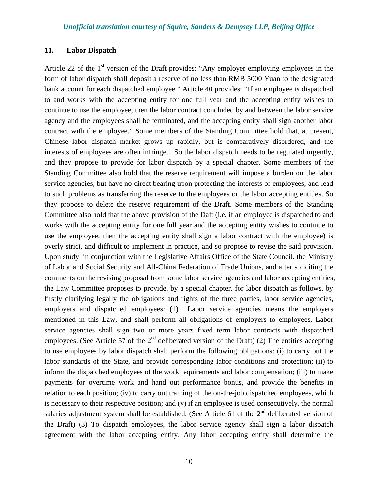#### **11. Labor Dispatch**

Article 22 of the  $1<sup>st</sup>$  version of the Draft provides: "Any employer employing employees in the form of labor dispatch shall deposit a reserve of no less than RMB 5000 Yuan to the designated bank account for each dispatched employee." Article 40 provides: "If an employee is dispatched to and works with the accepting entity for one full year and the accepting entity wishes to continue to use the employee, then the labor contract concluded by and between the labor service agency and the employees shall be terminated, and the accepting entity shall sign another labor contract with the employee." Some members of the Standing Committee hold that, at present, Chinese labor dispatch market grows up rapidly, but is comparatively disordered, and the interests of employees are often infringed. So the labor dispatch needs to be regulated urgently, and they propose to provide for labor dispatch by a special chapter. Some members of the Standing Committee also hold that the reserve requirement will impose a burden on the labor service agencies, but have no direct bearing upon protecting the interests of employees, and lead to such problems as transferring the reserve to the employees or the labor accepting entities. So they propose to delete the reserve requirement of the Draft. Some members of the Standing Committee also hold that the above provision of the Daft (i.e. if an employee is dispatched to and works with the accepting entity for one full year and the accepting entity wishes to continue to use the employee, then the accepting entity shall sign a labor contract with the employee) is overly strict, and difficult to implement in practice, and so propose to revise the said provision. Upon study in conjunction with the Legislative Affairs Office of the State Council, the Ministry of Labor and Social Security and All-China Federation of Trade Unions, and after soliciting the comments on the revising proposal from some labor service agencies and labor accepting entities, the Law Committee proposes to provide, by a special chapter, for labor dispatch as follows, by firstly clarifying legally the obligations and rights of the three parties, labor service agencies, employers and dispatched employees: (1) Labor service agencies means the employers mentioned in this Law, and shall perform all obligations of employers to employees. Labor service agencies shall sign two or more years fixed term labor contracts with dispatched employees. (See Article 57 of the  $2<sup>nd</sup>$  deliberated version of the Draft) (2) The entities accepting to use employees by labor dispatch shall perform the following obligations: (i) to carry out the labor standards of the State, and provide corresponding labor conditions and protection; (ii) to inform the dispatched employees of the work requirements and labor compensation; (iii) to make payments for overtime work and hand out performance bonus, and provide the benefits in relation to each position; (iv) to carry out training of the on-the-job dispatched employees, which is necessary to their respective position; and (v) if an employee is used consecutively, the normal salaries adjustment system shall be established. (See Article 61 of the  $2<sup>nd</sup>$  deliberated version of the Draft) (3) To dispatch employees, the labor service agency shall sign a labor dispatch agreement with the labor accepting entity. Any labor accepting entity shall determine the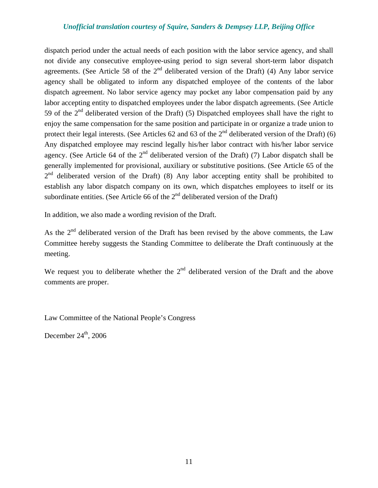dispatch period under the actual needs of each position with the labor service agency, and shall not divide any consecutive employee-using period to sign several short-term labor dispatch agreements. (See Article 58 of the  $2<sup>nd</sup>$  deliberated version of the Draft) (4) Any labor service agency shall be obligated to inform any dispatched employee of the contents of the labor dispatch agreement. No labor service agency may pocket any labor compensation paid by any labor accepting entity to dispatched employees under the labor dispatch agreements. (See Article 59 of the  $2<sup>nd</sup>$  deliberated version of the Draft) (5) Dispatched employees shall have the right to enjoy the same compensation for the same position and participate in or organize a trade union to protect their legal interests. (See Articles 62 and 63 of the  $2<sup>nd</sup>$  deliberated version of the Draft) (6) Any dispatched employee may rescind legally his/her labor contract with his/her labor service agency. (See Article 64 of the  $2<sup>nd</sup>$  deliberated version of the Draft) (7) Labor dispatch shall be generally implemented for provisional, auxiliary or substitutive positions. (See Article 65 of the  $2<sup>nd</sup>$  deliberated version of the Draft) (8) Any labor accepting entity shall be prohibited to establish any labor dispatch company on its own, which dispatches employees to itself or its subordinate entities. (See Article 66 of the  $2<sup>nd</sup>$  deliberated version of the Draft)

In addition, we also made a wording revision of the Draft.

As the  $2<sup>nd</sup>$  deliberated version of the Draft has been revised by the above comments, the Law Committee hereby suggests the Standing Committee to deliberate the Draft continuously at the meeting.

We request you to deliberate whether the  $2<sup>nd</sup>$  deliberated version of the Draft and the above comments are proper.

Law Committee of the National People's Congress

December  $24<sup>th</sup>$ , 2006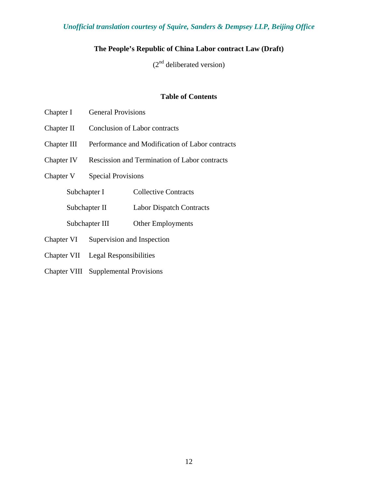# **The People's Republic of China Labor contract Law (Draft)**

 $(2<sup>nd</sup>$  deliberated version)

### **Table of Contents**

- Chapter I General Provisions
- Chapter II Conclusion of Labor contracts
- Chapter III Performance and Modification of Labor contracts
- Chapter IV Rescission and Termination of Labor contracts
- Chapter V Special Provisions
	- Subchapter I Collective Contracts
	- Subchapter II Labor Dispatch Contracts
	- Subchapter III Other Employments
- Chapter VI Supervision and Inspection
- Chapter VII Legal Responsibilities
- Chapter VIII Supplemental Provisions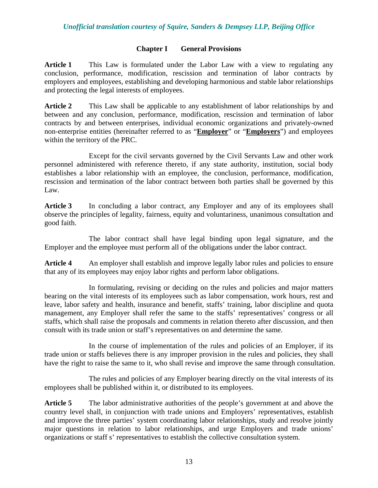## **Chapter I General Provisions**

**Article 1** This Law is formulated under the Labor Law with a view to regulating any conclusion, performance, modification, rescission and termination of labor contracts by employers and employees, establishing and developing harmonious and stable labor relationships and protecting the legal interests of employees.

**Article 2** This Law shall be applicable to any establishment of labor relationships by and between and any conclusion, performance, modification, rescission and termination of labor contracts by and between enterprises, individual economic organizations and privately-owned non-enterprise entities (hereinafter referred to as "**Employer**" or "**Employers**") and employees within the territory of the PRC.

Except for the civil servants governed by the Civil Servants Law and other work personnel administered with reference thereto, if any state authority, institution, social body establishes a labor relationship with an employee, the conclusion, performance, modification, rescission and termination of the labor contract between both parties shall be governed by this Law.

Article 3 In concluding a labor contract, any Employer and any of its employees shall observe the principles of legality, fairness, equity and voluntariness, unanimous consultation and good faith.

The labor contract shall have legal binding upon legal signature, and the Employer and the employee must perform all of the obligations under the labor contract.

Article 4 An employer shall establish and improve legally labor rules and policies to ensure that any of its employees may enjoy labor rights and perform labor obligations.

In formulating, revising or deciding on the rules and policies and major matters bearing on the vital interests of its employees such as labor compensation, work hours, rest and leave, labor safety and health, insurance and benefit, staffs' training, labor discipline and quota management, any Employer shall refer the same to the staffs' representatives' congress or all staffs, which shall raise the proposals and comments in relation thereto after discussion, and then consult with its trade union or staff's representatives on and determine the same.

In the course of implementation of the rules and policies of an Employer, if its trade union or staffs believes there is any improper provision in the rules and policies, they shall have the right to raise the same to it, who shall revise and improve the same through consultation.

The rules and policies of any Employer bearing directly on the vital interests of its employees shall be published within it, or distributed to its employees.

**Article 5** The labor administrative authorities of the people's government at and above the country level shall, in conjunction with trade unions and Employers' representatives, establish and improve the three parties' system coordinating labor relationships, study and resolve jointly major questions in relation to labor relationships, and urge Employers and trade unions' organizations or staff s' representatives to establish the collective consultation system.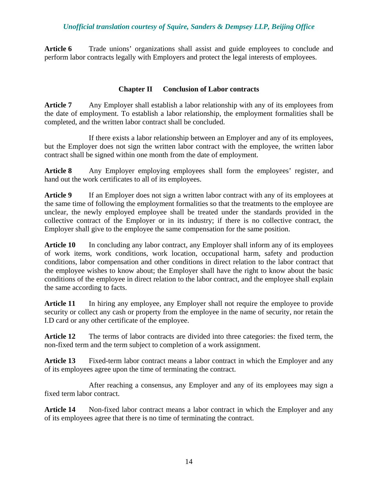**Article 6** Trade unions' organizations shall assist and guide employees to conclude and perform labor contracts legally with Employers and protect the legal interests of employees.

## **Chapter II Conclusion of Labor contracts**

Article 7 Any Employer shall establish a labor relationship with any of its employees from the date of employment. To establish a labor relationship, the employment formalities shall be completed, and the written labor contract shall be concluded.

If there exists a labor relationship between an Employer and any of its employees, but the Employer does not sign the written labor contract with the employee, the written labor contract shall be signed within one month from the date of employment.

**Article 8** Any Employer employing employees shall form the employees' register, and hand out the work certificates to all of its employees.

**Article 9** If an Employer does not sign a written labor contract with any of its employees at the same time of following the employment formalities so that the treatments to the employee are unclear, the newly employed employee shall be treated under the standards provided in the collective contract of the Employer or in its industry; if there is no collective contract, the Employer shall give to the employee the same compensation for the same position.

Article 10 In concluding any labor contract, any Employer shall inform any of its employees of work items, work conditions, work location, occupational harm, safety and production conditions, labor compensation and other conditions in direct relation to the labor contract that the employee wishes to know about; the Employer shall have the right to know about the basic conditions of the employee in direct relation to the labor contract, and the employee shall explain the same according to facts.

**Article 11** In hiring any employee, any Employer shall not require the employee to provide security or collect any cash or property from the employee in the name of security, nor retain the I.D card or any other certificate of the employee.

**Article 12** The terms of labor contracts are divided into three categories: the fixed term, the non-fixed term and the term subject to completion of a work assignment.

**Article 13** Fixed-term labor contract means a labor contract in which the Employer and any of its employees agree upon the time of terminating the contract.

After reaching a consensus, any Employer and any of its employees may sign a fixed term labor contract.

**Article 14** Non-fixed labor contract means a labor contract in which the Employer and any of its employees agree that there is no time of terminating the contract.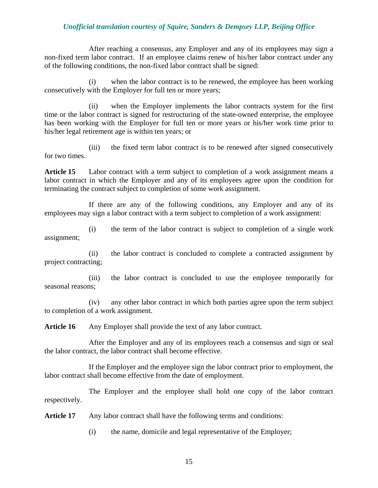After reaching a consensus, any Employer and any of its employees may sign a non-fixed term labor contract. If an employee claims renew of his/her labor contract under any of the following conditions, the non-fixed labor contract shall be signed:

(i) when the labor contract is to be renewed, the employee has been working consecutively with the Employer for full ten or more years;

(ii) when the Employer implements the labor contracts system for the first time or the labor contract is signed for restructuring of the state-owned enterprise, the employee has been working with the Employer for full ten or more years or his/her work time prior to his/her legal retirement age is within ten years; or

(iii) the fixed term labor contract is to be renewed after signed consecutively for two times.

**Article 15** Labor contract with a term subject to completion of a work assignment means a labor contract in which the Employer and any of its employees agree upon the condition for terminating the contract subject to completion of some work assignment.

If there are any of the following conditions, any Employer and any of its employees may sign a labor contract with a term subject to completion of a work assignment:

(i) the term of the labor contract is subject to completion of a single work assignment;

(ii) the labor contract is concluded to complete a contracted assignment by project contracting;

(iii) the labor contract is concluded to use the employee temporarily for seasonal reasons;

(iv) any other labor contract in which both parties agree upon the term subject to completion of a work assignment.

Article 16 Any Employer shall provide the text of any labor contract.

After the Employer and any of its employees reach a consensus and sign or seal the labor contract, the labor contract shall become effective.

If the Employer and the employee sign the labor contract prior to employment, the labor contract shall become effective from the date of employment.

The Employer and the employee shall hold one copy of the labor contract respectively.

**Article 17** Any labor contract shall have the following terms and conditions:

(i) the name, domicile and legal representative of the Employer;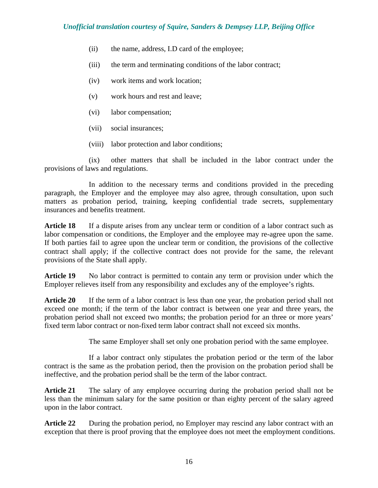- (ii) the name, address, I.D card of the employee;
- (iii) the term and terminating conditions of the labor contract;
- (iv) work items and work location;
- (v) work hours and rest and leave;
- (vi) labor compensation;
- (vii) social insurances;
- (viii) labor protection and labor conditions;

(ix) other matters that shall be included in the labor contract under the provisions of laws and regulations.

In addition to the necessary terms and conditions provided in the preceding paragraph, the Employer and the employee may also agree, through consultation, upon such matters as probation period, training, keeping confidential trade secrets, supplementary insurances and benefits treatment.

**Article 18** If a dispute arises from any unclear term or condition of a labor contract such as labor compensation or conditions, the Employer and the employee may re-agree upon the same. If both parties fail to agree upon the unclear term or condition, the provisions of the collective contract shall apply; if the collective contract does not provide for the same, the relevant provisions of the State shall apply.

**Article 19** No labor contract is permitted to contain any term or provision under which the Employer relieves itself from any responsibility and excludes any of the employee's rights.

**Article 20** If the term of a labor contract is less than one year, the probation period shall not exceed one month; if the term of the labor contract is between one year and three years, the probation period shall not exceed two months; the probation period for an three or more years' fixed term labor contract or non-fixed term labor contract shall not exceed six months.

The same Employer shall set only one probation period with the same employee.

If a labor contract only stipulates the probation period or the term of the labor contract is the same as the probation period, then the provision on the probation period shall be ineffective, and the probation period shall be the term of the labor contract.

**Article 21** The salary of any employee occurring during the probation period shall not be less than the minimum salary for the same position or than eighty percent of the salary agreed upon in the labor contract.

**Article 22** During the probation period, no Employer may rescind any labor contract with an exception that there is proof proving that the employee does not meet the employment conditions.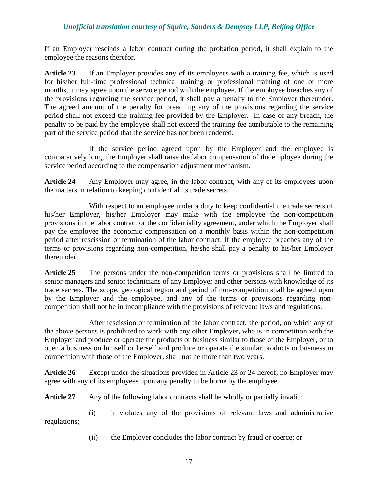If an Employer rescinds a labor contract during the probation period, it shall explain to the employee the reasons therefor.

**Article 23** If an Employer provides any of its employees with a training fee, which is used for his/her full-time professional technical training or professional training of one or more months, it may agree upon the service period with the employee. If the employee breaches any of the provisions regarding the service period, it shall pay a penalty to the Employer thereunder. The agreed amount of the penalty for breaching any of the provisions regarding the service period shall not exceed the training fee provided by the Employer. In case of any breach, the penalty to be paid by the employee shall not exceed the training fee attributable to the remaining part of the service period that the service has not been rendered.

If the service period agreed upon by the Employer and the employee is comparatively long, the Employer shall raise the labor compensation of the employee during the service period according to the compensation adjustment mechanism.

**Article 24** Any Employer may agree, in the labor contract, with any of its employees upon the matters in relation to keeping confidential its trade secrets.

With respect to an employee under a duty to keep confidential the trade secrets of his/her Employer, his/her Employer may make with the employee the non-competition provisions in the labor contract or the confidentiality agreement, under which the Employer shall pay the employee the economic compensation on a monthly basis within the non-competition period after rescission or termination of the labor contract. If the employee breaches any of the terms or provisions regarding non-competition, he/she shall pay a penalty to his/her Employer thereunder.

**Article 25** The persons under the non-competition terms or provisions shall be limited to senior managers and senior technicians of any Employer and other persons with knowledge of its trade secrets. The scope, geological region and period of non-competition shall be agreed upon by the Employer and the employee, and any of the terms or provisions regarding noncompetition shall not be in incompliance with the provisions of relevant laws and regulations.

After rescission or termination of the labor contract, the period, on which any of the above persons is prohibited to work with any other Employer, who is in competition with the Employer and produce or operate the products or business similar to those of the Employer, or to open a business on himself or herself and produce or operate the similar products or business in competition with those of the Employer, shall not be more than two years.

**Article 26** Except under the situations provided in Article 23 or 24 hereof, no Employer may agree with any of its employees upon any penalty to be borne by the employee.

**Article 27** Any of the following labor contracts shall be wholly or partially invalid:

(i) it violates any of the provisions of relevant laws and administrative regulations;

(ii) the Employer concludes the labor contract by fraud or coerce; or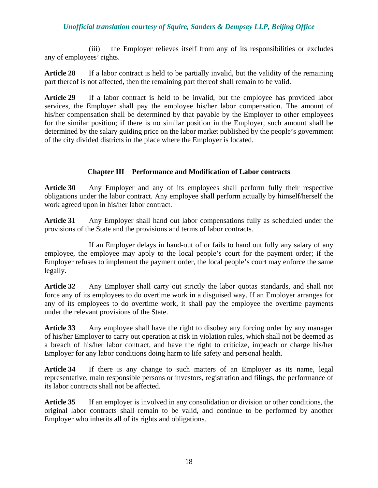(iii) the Employer relieves itself from any of its responsibilities or excludes any of employees' rights.

**Article 28** If a labor contract is held to be partially invalid, but the validity of the remaining part thereof is not affected, then the remaining part thereof shall remain to be valid.

**Article 29** If a labor contract is held to be invalid, but the employee has provided labor services, the Employer shall pay the employee his/her labor compensation. The amount of his/her compensation shall be determined by that payable by the Employer to other employees for the similar position; if there is no similar position in the Employer, such amount shall be determined by the salary guiding price on the labor market published by the people's government of the city divided districts in the place where the Employer is located.

## **Chapter III Performance and Modification of Labor contracts**

**Article 30** Any Employer and any of its employees shall perform fully their respective obligations under the labor contract. Any employee shall perform actually by himself/herself the work agreed upon in his/her labor contract.

**Article 31** Any Employer shall hand out labor compensations fully as scheduled under the provisions of the State and the provisions and terms of labor contracts.

If an Employer delays in hand-out of or fails to hand out fully any salary of any employee, the employee may apply to the local people's court for the payment order; if the Employer refuses to implement the payment order, the local people's court may enforce the same legally.

**Article 32** Any Employer shall carry out strictly the labor quotas standards, and shall not force any of its employees to do overtime work in a disguised way. If an Employer arranges for any of its employees to do overtime work, it shall pay the employee the overtime payments under the relevant provisions of the State.

**Article 33** Any employee shall have the right to disobey any forcing order by any manager of his/her Employer to carry out operation at risk in violation rules, which shall not be deemed as a breach of his/her labor contract, and have the right to criticize, impeach or charge his/her Employer for any labor conditions doing harm to life safety and personal health.

**Article 34** If there is any change to such matters of an Employer as its name, legal representative, main responsible persons or investors, registration and filings, the performance of its labor contracts shall not be affected.

**Article 35** If an employer is involved in any consolidation or division or other conditions, the original labor contracts shall remain to be valid, and continue to be performed by another Employer who inherits all of its rights and obligations.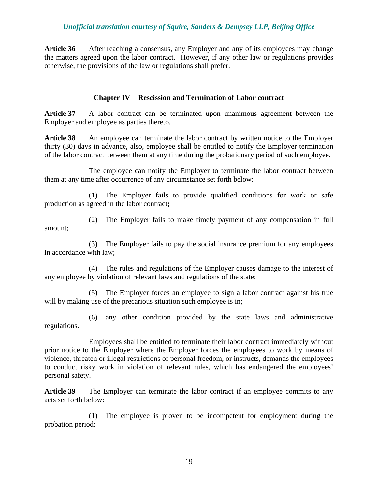**Article 36** After reaching a consensus, any Employer and any of its employees may change the matters agreed upon the labor contract. However, if any other law or regulations provides otherwise, the provisions of the law or regulations shall prefer.

### **Chapter IV Rescission and Termination of Labor contract**

**Article 37** A labor contract can be terminated upon unanimous agreement between the Employer and employee as parties thereto.

**Article 38** An employee can terminate the labor contract by written notice to the Employer thirty (30) days in advance, also, employee shall be entitled to notify the Employer termination of the labor contract between them at any time during the probationary period of such employee.

The employee can notify the Employer to terminate the labor contract between them at any time after occurrence of any circumstance set forth below:

(1) The Employer fails to provide qualified conditions for work or safe production as agreed in the labor contract**;** 

(2) The Employer fails to make timely payment of any compensation in full amount;

(3) The Employer fails to pay the social insurance premium for any employees in accordance with law;

(4) The rules and regulations of the Employer causes damage to the interest of any employee by violation of relevant laws and regulations of the state;

(5) The Employer forces an employee to sign a labor contract against his true will by making use of the precarious situation such employee is in;

(6) any other condition provided by the state laws and administrative regulations.

Employees shall be entitled to terminate their labor contract immediately without prior notice to the Employer where the Employer forces the employees to work by means of violence, threaten or illegal restrictions of personal freedom, or instructs, demands the employees to conduct risky work in violation of relevant rules, which has endangered the employees' personal safety.

Article 39 The Employer can terminate the labor contract if an employee commits to any acts set forth below:

(1) The employee is proven to be incompetent for employment during the probation period;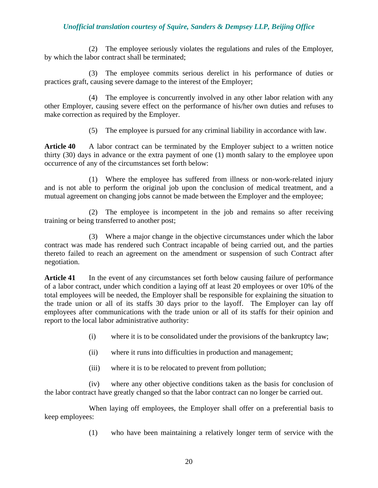(2) The employee seriously violates the regulations and rules of the Employer, by which the labor contract shall be terminated;

(3) The employee commits serious derelict in his performance of duties or practices graft, causing severe damage to the interest of the Employer;

(4) The employee is concurrently involved in any other labor relation with any other Employer, causing severe effect on the performance of his/her own duties and refuses to make correction as required by the Employer.

(5) The employee is pursued for any criminal liability in accordance with law.

**Article 40** A labor contract can be terminated by the Employer subject to a written notice thirty (30) days in advance or the extra payment of one (1) month salary to the employee upon occurrence of any of the circumstances set forth below:

(1) Where the employee has suffered from illness or non-work-related injury and is not able to perform the original job upon the conclusion of medical treatment, and a mutual agreement on changing jobs cannot be made between the Employer and the employee;

(2) The employee is incompetent in the job and remains so after receiving training or being transferred to another post;

(3) Where a major change in the objective circumstances under which the labor contract was made has rendered such Contract incapable of being carried out, and the parties thereto failed to reach an agreement on the amendment or suspension of such Contract after negotiation.

Article 41 In the event of any circumstances set forth below causing failure of performance of a labor contract, under which condition a laying off at least 20 employees or over 10% of the total employees will be needed, the Employer shall be responsible for explaining the situation to the trade union or all of its staffs 30 days prior to the layoff. The Employer can lay off employees after communications with the trade union or all of its staffs for their opinion and report to the local labor administrative authority:

- (i) where it is to be consolidated under the provisions of the bankruptcy law;
- (ii) where it runs into difficulties in production and management;
- (iii) where it is to be relocated to prevent from pollution;

(iv) where any other objective conditions taken as the basis for conclusion of the labor contract have greatly changed so that the labor contract can no longer be carried out.

When laying off employees, the Employer shall offer on a preferential basis to keep employees:

(1) who have been maintaining a relatively longer term of service with the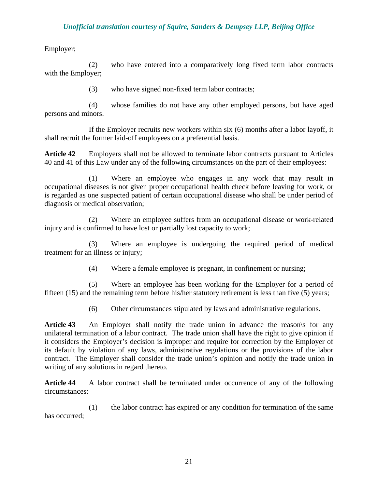Employer;

(2) who have entered into a comparatively long fixed term labor contracts with the Employer;

(3) who have signed non-fixed term labor contracts;

(4) whose families do not have any other employed persons, but have aged persons and minors.

If the Employer recruits new workers within six (6) months after a labor layoff, it shall recruit the former laid-off employees on a preferential basis.

**Article 42** Employers shall not be allowed to terminate labor contracts pursuant to Articles 40 and 41 of this Law under any of the following circumstances on the part of their employees:

(1) Where an employee who engages in any work that may result in occupational diseases is not given proper occupational health check before leaving for work, or is regarded as one suspected patient of certain occupational disease who shall be under period of diagnosis or medical observation;

(2) Where an employee suffers from an occupational disease or work-related injury and is confirmed to have lost or partially lost capacity to work;

(3) Where an employee is undergoing the required period of medical treatment for an illness or injury;

(4) Where a female employee is pregnant, in confinement or nursing;

(5) Where an employee has been working for the Employer for a period of fifteen (15) and the remaining term before his/her statutory retirement is less than five (5) years;

(6) Other circumstances stipulated by laws and administrative regulations.

**Article 43** An Employer shall notify the trade union in advance the reason is for any unilateral termination of a labor contract. The trade union shall have the right to give opinion if it considers the Employer's decision is improper and require for correction by the Employer of its default by violation of any laws, administrative regulations or the provisions of the labor contract. The Employer shall consider the trade union's opinion and notify the trade union in writing of any solutions in regard thereto.

**Article 44** A labor contract shall be terminated under occurrence of any of the following circumstances:

(1) the labor contract has expired or any condition for termination of the same has occurred;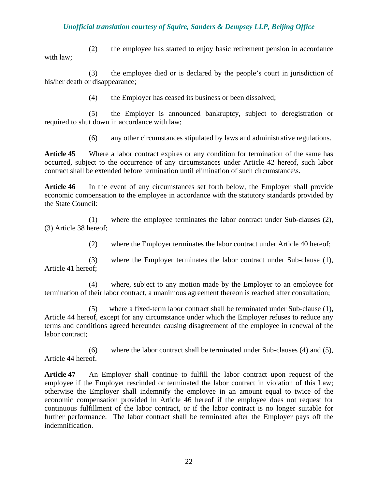(2) the employee has started to enjoy basic retirement pension in accordance with law;

(3) the employee died or is declared by the people's court in jurisdiction of his/her death or disappearance;

(4) the Employer has ceased its business or been dissolved;

(5) the Employer is announced bankruptcy, subject to deregistration or required to shut down in accordance with law;

(6) any other circumstances stipulated by laws and administrative regulations.

**Article 45** Where a labor contract expires or any condition for termination of the same has occurred, subject to the occurrence of any circumstances under Article 42 hereof, such labor contract shall be extended before termination until elimination of such circumstance\s.

**Article 46** In the event of any circumstances set forth below, the Employer shall provide economic compensation to the employee in accordance with the statutory standards provided by the State Council:

(1) where the employee terminates the labor contract under Sub-clauses (2), (3) Article 38 hereof;

(2) where the Employer terminates the labor contract under Article 40 hereof;

(3) where the Employer terminates the labor contract under Sub-clause (1), Article 41 hereof;

(4) where, subject to any motion made by the Employer to an employee for termination of their labor contract, a unanimous agreement thereon is reached after consultation;

(5) where a fixed-term labor contract shall be terminated under Sub-clause (1), Article 44 hereof, except for any circumstance under which the Employer refuses to reduce any terms and conditions agreed hereunder causing disagreement of the employee in renewal of the labor contract;

(6) where the labor contract shall be terminated under Sub-clauses (4) and (5), Article 44 hereof.

**Article 47** An Employer shall continue to fulfill the labor contract upon request of the employee if the Employer rescinded or terminated the labor contract in violation of this Law; otherwise the Employer shall indemnify the employee in an amount equal to twice of the economic compensation provided in Article 46 hereof if the employee does not request for continuous fulfillment of the labor contract, or if the labor contract is no longer suitable for further performance. The labor contract shall be terminated after the Employer pays off the indemnification.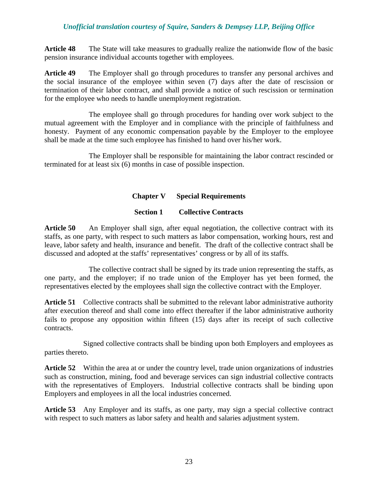**Article 48** The State will take measures to gradually realize the nationwide flow of the basic pension insurance individual accounts together with employees.

**Article 49** The Employer shall go through procedures to transfer any personal archives and the social insurance of the employee within seven (7) days after the date of rescission or termination of their labor contract, and shall provide a notice of such rescission or termination for the employee who needs to handle unemployment registration.

The employee shall go through procedures for handing over work subject to the mutual agreement with the Employer and in compliance with the principle of faithfulness and honesty. Payment of any economic compensation payable by the Employer to the employee shall be made at the time such employee has finished to hand over his/her work.

The Employer shall be responsible for maintaining the labor contract rescinded or terminated for at least six (6) months in case of possible inspection.

## **Chapter V Special Requirements**

### **Section 1 Collective Contracts**

**Article 50** An Employer shall sign, after equal negotiation, the collective contract with its staffs, as one party, with respect to such matters as labor compensation, working hours, rest and leave, labor safety and health, insurance and benefit. The draft of the collective contract shall be discussed and adopted at the staffs' representatives' congress or by all of its staffs.

The collective contract shall be signed by its trade union representing the staffs, as one party, and the employer; if no trade union of the Employer has yet been formed, the representatives elected by the employees shall sign the collective contract with the Employer.

**Article 51** Collective contracts shall be submitted to the relevant labor administrative authority after execution thereof and shall come into effect thereafter if the labor administrative authority fails to propose any opposition within fifteen (15) days after its receipt of such collective contracts.

Signed collective contracts shall be binding upon both Employers and employees as parties thereto.

**Article 52** Within the area at or under the country level, trade union organizations of industries such as construction, mining, food and beverage services can sign industrial collective contracts with the representatives of Employers. Industrial collective contracts shall be binding upon Employers and employees in all the local industries concerned.

Article 53 Any Employer and its staffs, as one party, may sign a special collective contract with respect to such matters as labor safety and health and salaries adjustment system.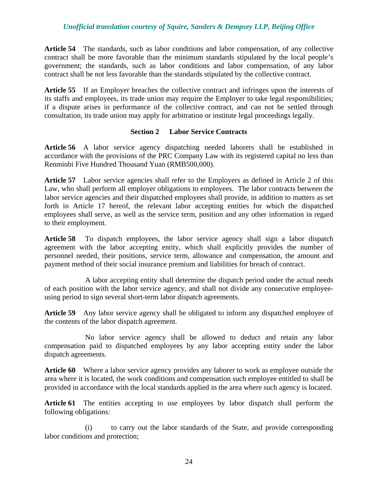**Article 54** The standards, such as labor conditions and labor compensation, of any collective contract shall be more favorable than the minimum standards stipulated by the local people's government; the standards, such as labor conditions and labor compensation, of any labor contract shall be not less favorable than the standards stipulated by the collective contract.

Article 55 If an Employer breaches the collective contract and infringes upon the interests of its staffs and employees, its trade union may require the Employer to take legal responsibilities; if a dispute arises in performance of the collective contract, and can not be settled through consultation, its trade union may apply for arbitration or institute legal proceedings legally.

#### **Section 2 Labor Service Contracts**

**Article 56** A labor service agency dispatching needed laborers shall be established in accordance with the provisions of the PRC Company Law with its registered capital no less than Renminbi Five Hundred Thousand Yuan (RMB500,000).

**Article 57** Labor service agencies shall refer to the Employers as defined in Article 2 of this Law, who shall perform all employer obligations to employees. The labor contracts between the labor service agencies and their dispatched employees shall provide, in addition to matters as set forth in Article 17 hereof, the relevant labor accepting entities for which the dispatched employees shall serve, as well as the service term, position and any other information in regard to their employment.

**Article 58** To dispatch employees, the labor service agency shall sign a labor dispatch agreement with the labor accepting entity, which shall explicitly provides the number of personnel needed, their positions, service term, allowance and compensation, the amount and payment method of their social insurance premium and liabilities for breach of contract.

A labor accepting entity shall determine the dispatch period under the actual needs of each position with the labor service agency, and shall not divide any consecutive employeeusing period to sign several short-term labor dispatch agreements.

**Article 59** Any labor service agency shall be obligated to inform any dispatched employee of the contents of the labor dispatch agreement.

No labor service agency shall be allowed to deduct and retain any labor compensation paid to dispatched employees by any labor accepting entity under the labor dispatch agreements.

**Article 60** Where a labor service agency provides any laborer to work as employee outside the area where it is located, the work conditions and compensation such employee entitled to shall be provided in accordance with the local standards applied in the area where such agency is located.

Article 61 The entities accepting to use employees by labor dispatch shall perform the following obligations:

(i) to carry out the labor standards of the State, and provide corresponding labor conditions and protection;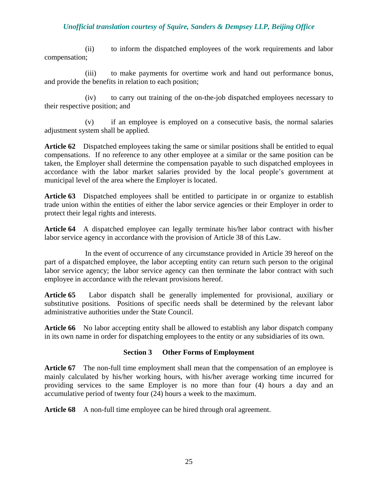(ii) to inform the dispatched employees of the work requirements and labor compensation;

(iii) to make payments for overtime work and hand out performance bonus, and provide the benefits in relation to each position;

(iv) to carry out training of the on-the-job dispatched employees necessary to their respective position; and

(v) if an employee is employed on a consecutive basis, the normal salaries adjustment system shall be applied.

**Article 62** Dispatched employees taking the same or similar positions shall be entitled to equal compensations. If no reference to any other employee at a similar or the same position can be taken, the Employer shall determine the compensation payable to such dispatched employees in accordance with the labor market salaries provided by the local people's government at municipal level of the area where the Employer is located.

**Article 63** Dispatched employees shall be entitled to participate in or organize to establish trade union within the entities of either the labor service agencies or their Employer in order to protect their legal rights and interests.

**Article 64** A dispatched employee can legally terminate his/her labor contract with his/her labor service agency in accordance with the provision of Article 38 of this Law.

In the event of occurrence of any circumstance provided in Article 39 hereof on the part of a dispatched employee, the labor accepting entity can return such person to the original labor service agency; the labor service agency can then terminate the labor contract with such employee in accordance with the relevant provisions hereof.

**Article 65** Labor dispatch shall be generally implemented for provisional, auxiliary or substitutive positions. Positions of specific needs shall be determined by the relevant labor administrative authorities under the State Council.

**Article 66** No labor accepting entity shall be allowed to establish any labor dispatch company in its own name in order for dispatching employees to the entity or any subsidiaries of its own.

# **Section 3 Other Forms of Employment**

Article 67 The non-full time employment shall mean that the compensation of an employee is mainly calculated by his/her working hours, with his/her average working time incurred for providing services to the same Employer is no more than four (4) hours a day and an accumulative period of twenty four (24) hours a week to the maximum.

Article 68 A non-full time employee can be hired through oral agreement.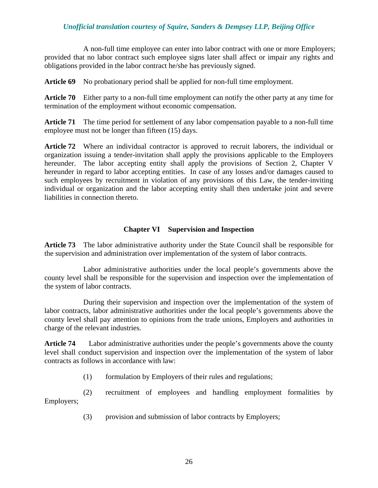A non-full time employee can enter into labor contract with one or more Employers; provided that no labor contract such employee signs later shall affect or impair any rights and obligations provided in the labor contract he/she has previously signed.

**Article 69** No probationary period shall be applied for non-full time employment.

**Article 70** Either party to a non-full time employment can notify the other party at any time for termination of the employment without economic compensation.

**Article 71** The time period for settlement of any labor compensation payable to a non-full time employee must not be longer than fifteen (15) days.

**Article 72** Where an individual contractor is approved to recruit laborers, the individual or organization issuing a tender-invitation shall apply the provisions applicable to the Employers hereunder. The labor accepting entity shall apply the provisions of Section 2, Chapter V hereunder in regard to labor accepting entities. In case of any losses and/or damages caused to such employees by recruitment in violation of any provisions of this Law, the tender-inviting individual or organization and the labor accepting entity shall then undertake joint and severe liabilities in connection thereto.

### **Chapter VI Supervision and Inspection**

**Article 73** The labor administrative authority under the State Council shall be responsible for the supervision and administration over implementation of the system of labor contracts.

Labor administrative authorities under the local people's governments above the county level shall be responsible for the supervision and inspection over the implementation of the system of labor contracts.

During their supervision and inspection over the implementation of the system of labor contracts, labor administrative authorities under the local people's governments above the county level shall pay attention to opinions from the trade unions, Employers and authorities in charge of the relevant industries.

**Article 74** Labor administrative authorities under the people's governments above the county level shall conduct supervision and inspection over the implementation of the system of labor contracts as follows in accordance with law:

(1) formulation by Employers of their rules and regulations;

(2) recruitment of employees and handling employment formalities by Employers;

(3) provision and submission of labor contracts by Employers;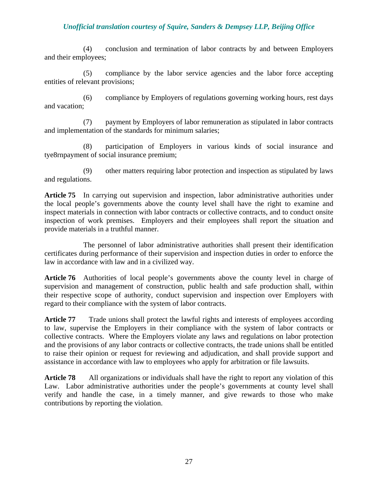(4) conclusion and termination of labor contracts by and between Employers and their employees;

(5) compliance by the labor service agencies and the labor force accepting entities of relevant provisions;

(6) compliance by Employers of regulations governing working hours, rest days and vacation;

(7) payment by Employers of labor remuneration as stipulated in labor contracts and implementation of the standards for minimum salaries;

(8) participation of Employers in various kinds of social insurance and tye8rnpayment of social insurance premium;

(9) other matters requiring labor protection and inspection as stipulated by laws and regulations.

Article 75 In carrying out supervision and inspection, labor administrative authorities under the local people's governments above the county level shall have the right to examine and inspect materials in connection with labor contracts or collective contracts, and to conduct onsite inspection of work premises. Employers and their employees shall report the situation and provide materials in a truthful manner.

The personnel of labor administrative authorities shall present their identification certificates during performance of their supervision and inspection duties in order to enforce the law in accordance with law and in a civilized way.

**Article 76** Authorities of local people's governments above the county level in charge of supervision and management of construction, public health and safe production shall, within their respective scope of authority, conduct supervision and inspection over Employers with regard to their compliance with the system of labor contracts.

**Article 77** Trade unions shall protect the lawful rights and interests of employees according to law, supervise the Employers in their compliance with the system of labor contracts or collective contracts. Where the Employers violate any laws and regulations on labor protection and the provisions of any labor contracts or collective contracts, the trade unions shall be entitled to raise their opinion or request for reviewing and adjudication, and shall provide support and assistance in accordance with law to employees who apply for arbitration or file lawsuits.

**Article 78** All organizations or individuals shall have the right to report any violation of this Law. Labor administrative authorities under the people's governments at county level shall verify and handle the case, in a timely manner, and give rewards to those who make contributions by reporting the violation.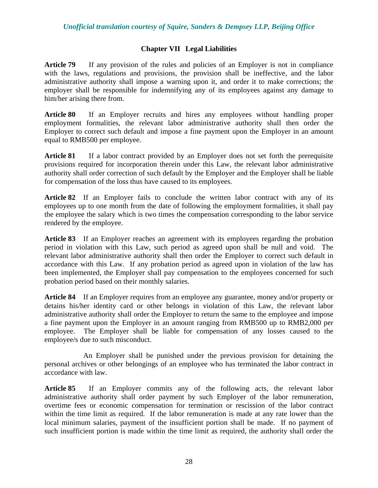# **Chapter VII Legal Liabilities**

**Article 79** If any provision of the rules and policies of an Employer is not in compliance with the laws, regulations and provisions, the provision shall be ineffective, and the labor administrative authority shall impose a warning upon it, and order it to make corrections; the employer shall be responsible for indemnifying any of its employees against any damage to him/her arising there from.

**Article 80** If an Employer recruits and hires any employees without handling proper employment formalities, the relevant labor administrative authority shall then order the Employer to correct such default and impose a fine payment upon the Employer in an amount equal to RMB500 per employee.

Article 81 If a labor contract provided by an Employer does not set forth the prerequisite provisions required for incorporation therein under this Law, the relevant labor administrative authority shall order correction of such default by the Employer and the Employer shall be liable for compensation of the loss thus have caused to its employees.

**Article 82** If an Employer fails to conclude the written labor contract with any of its employees up to one month from the date of following the employment formalities, it shall pay the employee the salary which is two times the compensation corresponding to the labor service rendered by the employee.

**Article 83** If an Employer reaches an agreement with its employees regarding the probation period in violation with this Law, such period as agreed upon shall be null and void. The relevant labor administrative authority shall then order the Employer to correct such default in accordance with this Law. If any probation period as agreed upon in violation of the law has been implemented, the Employer shall pay compensation to the employees concerned for such probation period based on their monthly salaries.

**Article 84** If an Employer requires from an employee any guarantee, money and/or property or detains his/her identity card or other belongs in violation of this Law, the relevant labor administrative authority shall order the Employer to return the same to the employee and impose a fine payment upon the Employer in an amount ranging from RMB500 up to RMB2,000 per employee. The Employer shall be liable for compensation of any losses caused to the employee/s due to such misconduct.

An Employer shall be punished under the previous provision for detaining the personal archives or other belongings of an employee who has terminated the labor contract in accordance with law.

**Article 85** If an Employer commits any of the following acts, the relevant labor administrative authority shall order payment by such Employer of the labor remuneration, overtime fees or economic compensation for termination or rescission of the labor contract within the time limit as required. If the labor remuneration is made at any rate lower than the local minimum salaries, payment of the insufficient portion shall be made. If no payment of such insufficient portion is made within the time limit as required, the authority shall order the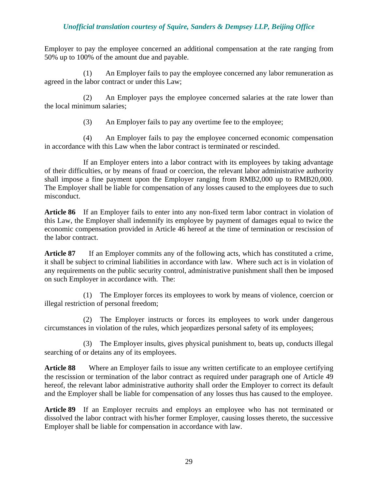Employer to pay the employee concerned an additional compensation at the rate ranging from 50% up to 100% of the amount due and payable.

(1) An Employer fails to pay the employee concerned any labor remuneration as agreed in the labor contract or under this Law;

(2) An Employer pays the employee concerned salaries at the rate lower than the local minimum salaries;

(3) An Employer fails to pay any overtime fee to the employee;

(4) An Employer fails to pay the employee concerned economic compensation in accordance with this Law when the labor contract is terminated or rescinded.

If an Employer enters into a labor contract with its employees by taking advantage of their difficulties, or by means of fraud or coercion, the relevant labor administrative authority shall impose a fine payment upon the Employer ranging from RMB2,000 up to RMB20,000. The Employer shall be liable for compensation of any losses caused to the employees due to such misconduct.

**Article 86** If an Employer fails to enter into any non-fixed term labor contract in violation of this Law, the Employer shall indemnify its employee by payment of damages equal to twice the economic compensation provided in Article 46 hereof at the time of termination or rescission of the labor contract.

**Article 87** If an Employer commits any of the following acts, which has constituted a crime, it shall be subject to criminal liabilities in accordance with law. Where such act is in violation of any requirements on the public security control, administrative punishment shall then be imposed on such Employer in accordance with. The:

(1) The Employer forces its employees to work by means of violence, coercion or illegal restriction of personal freedom;

(2) The Employer instructs or forces its employees to work under dangerous circumstances in violation of the rules, which jeopardizes personal safety of its employees;

(3) The Employer insults, gives physical punishment to, beats up, conducts illegal searching of or detains any of its employees.

**Article 88** Where an Employer fails to issue any written certificate to an employee certifying the rescission or termination of the labor contract as required under paragraph one of Article 49 hereof, the relevant labor administrative authority shall order the Employer to correct its default and the Employer shall be liable for compensation of any losses thus has caused to the employee.

**Article 89** If an Employer recruits and employs an employee who has not terminated or dissolved the labor contract with his/her former Employer, causing losses thereto, the successive Employer shall be liable for compensation in accordance with law.